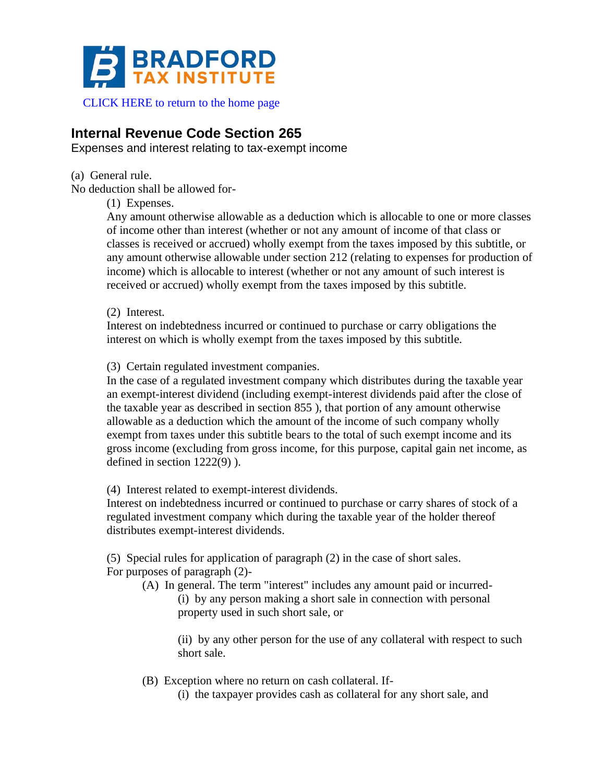

CLICK HERE to return to the home page

## **Internal Revenue Code Section 265**

Expenses and interest relating to tax-exempt income

(a) General rule.

No deduction shall be allowed for-

(1) Expenses.

Any amount otherwise allowable as a deduction which is allocable to one or more classes of income other than interest (whether or not any amount of income of that class or classes is received or accrued) wholly exempt from the taxes imposed by this subtitle, or any amount otherwise allowable under section 212 (relating to expenses for production of income) which is allocable to interest (whether or not any amount of such interest is received or accrued) wholly exempt from the taxes imposed by this subtitle.

(2) Interest.

Interest on indebtedness incurred or continued to purchase or carry obligations the interest on which is wholly exempt from the taxes imposed by this subtitle.

(3) Certain regulated investment companies.

In the case of a regulated investment company which distributes during the taxable year an exempt-interest dividend (including exempt-interest dividends paid after the close of the taxable year as described in section 855 ), that portion of any amount otherwise allowable as a deduction which the amount of the income of such company wholly exempt from taxes under this subtitle bears to the total of such exempt income and its gross income (excluding from gross income, for this purpose, capital gain net income, as defined in section 1222(9) ).

(4) Interest related to exempt-interest dividends.

Interest on indebtedness incurred or continued to purchase or carry shares of stock of a regulated investment company which during the taxable year of the holder thereof distributes exempt-interest dividends.

(5) Special rules for application of paragraph (2) in the case of short sales. For purposes of paragraph (2)-

(A) In general. The term "interest" includes any amount paid or incurred- (i) by any person making a short sale in connection with personal property used in such short sale, or

> (ii) by any other person for the use of any collateral with respect to such short sale.

(B) Exception where no return on cash collateral. If-

(i) the taxpayer provides cash as collateral for any short sale, and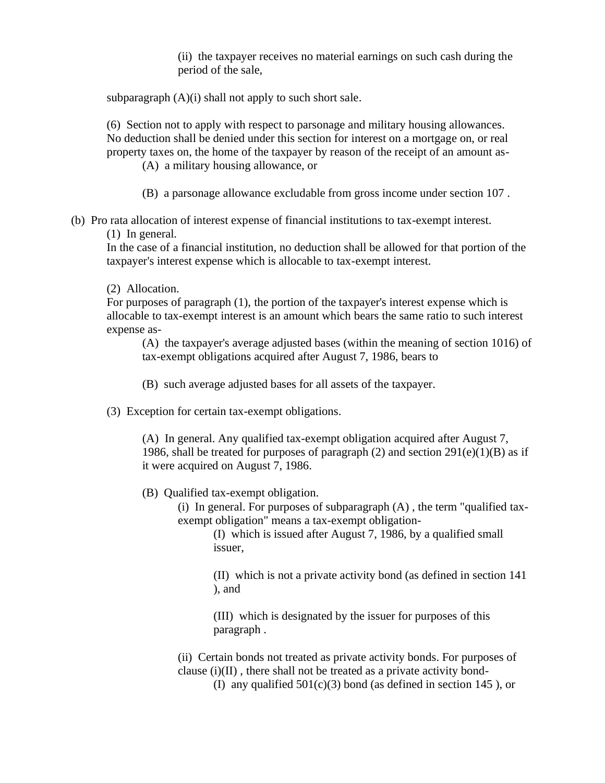(ii) the taxpayer receives no material earnings on such cash during the period of the sale,

subparagraph  $(A)(i)$  shall not apply to such short sale.

(6) Section not to apply with respect to parsonage and military housing allowances. No deduction shall be denied under this section for interest on a mortgage on, or real property taxes on, the home of the taxpayer by reason of the receipt of an amount as-

(A) a military housing allowance, or

- (B) a parsonage allowance excludable from gross income under section 107 .
- (b) Pro rata allocation of interest expense of financial institutions to tax-exempt interest.

(1) In general.

In the case of a financial institution, no deduction shall be allowed for that portion of the taxpayer's interest expense which is allocable to tax-exempt interest.

(2) Allocation.

For purposes of paragraph (1), the portion of the taxpayer's interest expense which is allocable to tax-exempt interest is an amount which bears the same ratio to such interest expense as-

(A) the taxpayer's average adjusted bases (within the meaning of section 1016) of tax-exempt obligations acquired after August 7, 1986, bears to

- (B) such average adjusted bases for all assets of the taxpayer.
- (3) Exception for certain tax-exempt obligations.

(A) In general. Any qualified tax-exempt obligation acquired after August 7, 1986, shall be treated for purposes of paragraph  $(2)$  and section  $291(e)(1)(B)$  as if it were acquired on August 7, 1986.

- (B) Qualified tax-exempt obligation.
	- (i) In general. For purposes of subparagraph  $(A)$ , the term "qualified taxexempt obligation" means a tax-exempt obligation-

(I) which is issued after August 7, 1986, by a qualified small issuer,

(II) which is not a private activity bond (as defined in section 141 ), and

(III) which is designated by the issuer for purposes of this paragraph .

(ii) Certain bonds not treated as private activity bonds. For purposes of clause (i)(II) , there shall not be treated as a private activity bond-

(I) any qualified  $501(c)(3)$  bond (as defined in section 145), or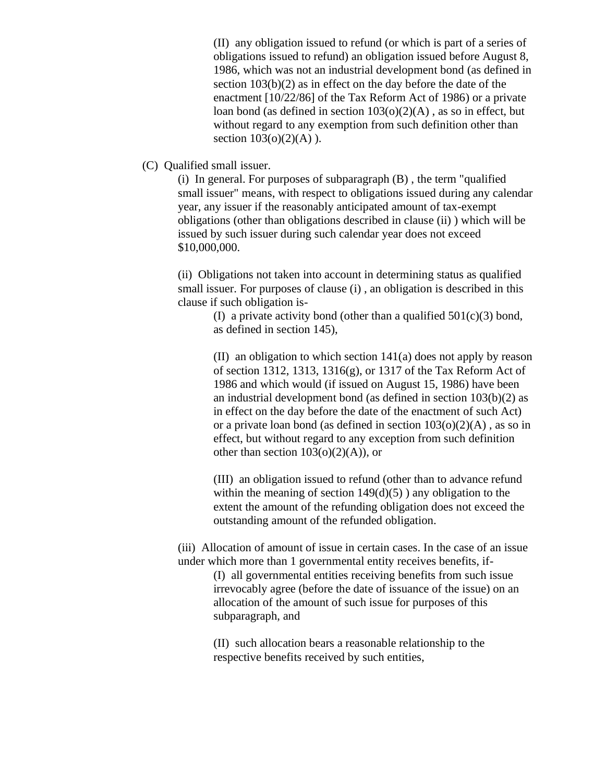(II) any obligation issued to refund (or which is part of a series of obligations issued to refund) an obligation issued before August 8, 1986, which was not an industrial development bond (as defined in section 103(b)(2) as in effect on the day before the date of the enactment [10/22/86] of the Tax Reform Act of 1986) or a private loan bond (as defined in section  $103(0)(2)(A)$ , as so in effect, but without regard to any exemption from such definition other than section  $103(o)(2)(A)$ ).

(C) Qualified small issuer.

(i) In general. For purposes of subparagraph (B) , the term "qualified small issuer" means, with respect to obligations issued during any calendar year, any issuer if the reasonably anticipated amount of tax-exempt obligations (other than obligations described in clause (ii) ) which will be issued by such issuer during such calendar year does not exceed \$10,000,000.

(ii) Obligations not taken into account in determining status as qualified small issuer. For purposes of clause (i) , an obligation is described in this clause if such obligation is-

> (I) a private activity bond (other than a qualified  $501(c)(3)$  bond, as defined in section 145),

(II) an obligation to which section 141(a) does not apply by reason of section 1312, 1313, 1316(g), or 1317 of the Tax Reform Act of 1986 and which would (if issued on August 15, 1986) have been an industrial development bond (as defined in section 103(b)(2) as in effect on the day before the date of the enactment of such Act) or a private loan bond (as defined in section  $103(o)(2)(A)$ , as so in effect, but without regard to any exception from such definition other than section  $103(0)(2)(A)$ , or

(III) an obligation issued to refund (other than to advance refund within the meaning of section  $149(d)(5)$ ) any obligation to the extent the amount of the refunding obligation does not exceed the outstanding amount of the refunded obligation.

(iii) Allocation of amount of issue in certain cases. In the case of an issue under which more than 1 governmental entity receives benefits, if-

> (I) all governmental entities receiving benefits from such issue irrevocably agree (before the date of issuance of the issue) on an allocation of the amount of such issue for purposes of this subparagraph, and

(II) such allocation bears a reasonable relationship to the respective benefits received by such entities,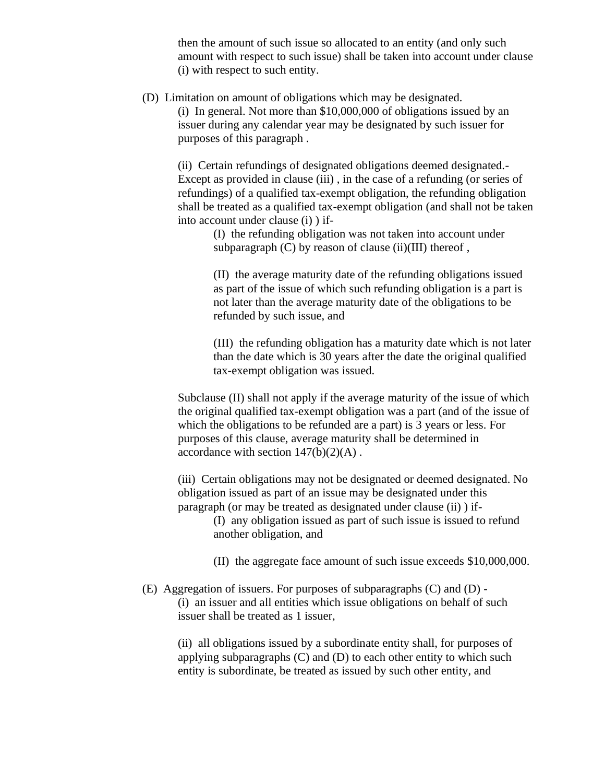then the amount of such issue so allocated to an entity (and only such amount with respect to such issue) shall be taken into account under clause (i) with respect to such entity.

(D) Limitation on amount of obligations which may be designated.

(i) In general. Not more than \$10,000,000 of obligations issued by an issuer during any calendar year may be designated by such issuer for purposes of this paragraph .

(ii) Certain refundings of designated obligations deemed designated.- Except as provided in clause (iii) , in the case of a refunding (or series of refundings) of a qualified tax-exempt obligation, the refunding obligation shall be treated as a qualified tax-exempt obligation (and shall not be taken into account under clause (i) ) if-

(I) the refunding obligation was not taken into account under subparagraph  $(C)$  by reason of clause (ii)(III) thereof,

(II) the average maturity date of the refunding obligations issued as part of the issue of which such refunding obligation is a part is not later than the average maturity date of the obligations to be refunded by such issue, and

(III) the refunding obligation has a maturity date which is not later than the date which is 30 years after the date the original qualified tax-exempt obligation was issued.

Subclause (II) shall not apply if the average maturity of the issue of which the original qualified tax-exempt obligation was a part (and of the issue of which the obligations to be refunded are a part) is 3 years or less. For purposes of this clause, average maturity shall be determined in accordance with section  $147(b)(2)(A)$ .

(iii) Certain obligations may not be designated or deemed designated. No obligation issued as part of an issue may be designated under this paragraph (or may be treated as designated under clause (ii) ) if-

(I) any obligation issued as part of such issue is issued to refund another obligation, and

(II) the aggregate face amount of such issue exceeds \$10,000,000.

(E) Aggregation of issuers. For purposes of subparagraphs (C) and (D) - (i) an issuer and all entities which issue obligations on behalf of such issuer shall be treated as 1 issuer,

(ii) all obligations issued by a subordinate entity shall, for purposes of applying subparagraphs (C) and (D) to each other entity to which such entity is subordinate, be treated as issued by such other entity, and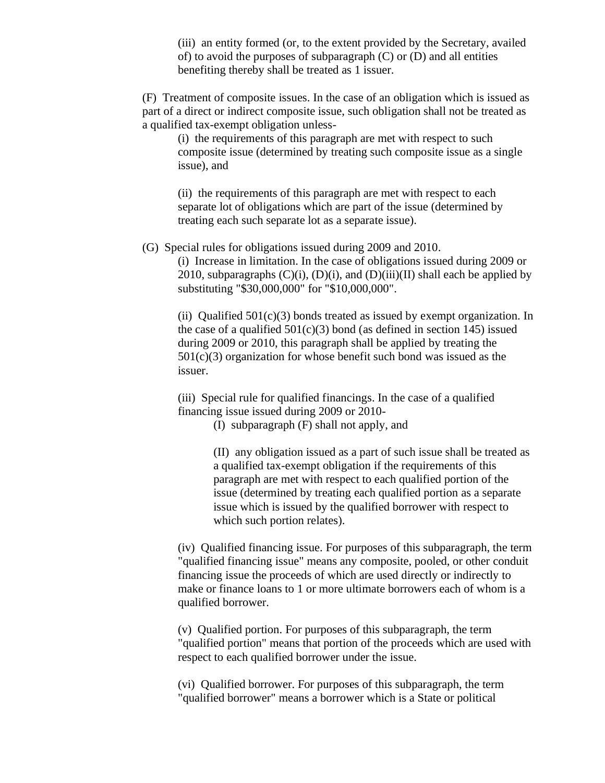(iii) an entity formed (or, to the extent provided by the Secretary, availed of) to avoid the purposes of subparagraph  $(C)$  or  $(D)$  and all entities benefiting thereby shall be treated as 1 issuer.

(F) Treatment of composite issues. In the case of an obligation which is issued as part of a direct or indirect composite issue, such obligation shall not be treated as a qualified tax-exempt obligation unless-

(i) the requirements of this paragraph are met with respect to such composite issue (determined by treating such composite issue as a single issue), and

(ii) the requirements of this paragraph are met with respect to each separate lot of obligations which are part of the issue (determined by treating each such separate lot as a separate issue).

(G) Special rules for obligations issued during 2009 and 2010.

(i) Increase in limitation. In the case of obligations issued during 2009 or 2010, subparagraphs  $(C)(i)$ ,  $(D)(i)$ , and  $(D)(iii)(II)$  shall each be applied by substituting "\$30,000,000" for "\$10,000,000".

(ii) Qualified  $501(c)(3)$  bonds treated as issued by exempt organization. In the case of a qualified  $501(c)(3)$  bond (as defined in section 145) issued during 2009 or 2010, this paragraph shall be applied by treating the  $501(c)(3)$  organization for whose benefit such bond was issued as the issuer.

(iii) Special rule for qualified financings. In the case of a qualified financing issue issued during 2009 or 2010-

(I) subparagraph (F) shall not apply, and

(II) any obligation issued as a part of such issue shall be treated as a qualified tax-exempt obligation if the requirements of this paragraph are met with respect to each qualified portion of the issue (determined by treating each qualified portion as a separate issue which is issued by the qualified borrower with respect to which such portion relates).

(iv) Qualified financing issue. For purposes of this subparagraph, the term "qualified financing issue" means any composite, pooled, or other conduit financing issue the proceeds of which are used directly or indirectly to make or finance loans to 1 or more ultimate borrowers each of whom is a qualified borrower.

(v) Qualified portion. For purposes of this subparagraph, the term "qualified portion" means that portion of the proceeds which are used with respect to each qualified borrower under the issue.

(vi) Qualified borrower. For purposes of this subparagraph, the term "qualified borrower" means a borrower which is a State or political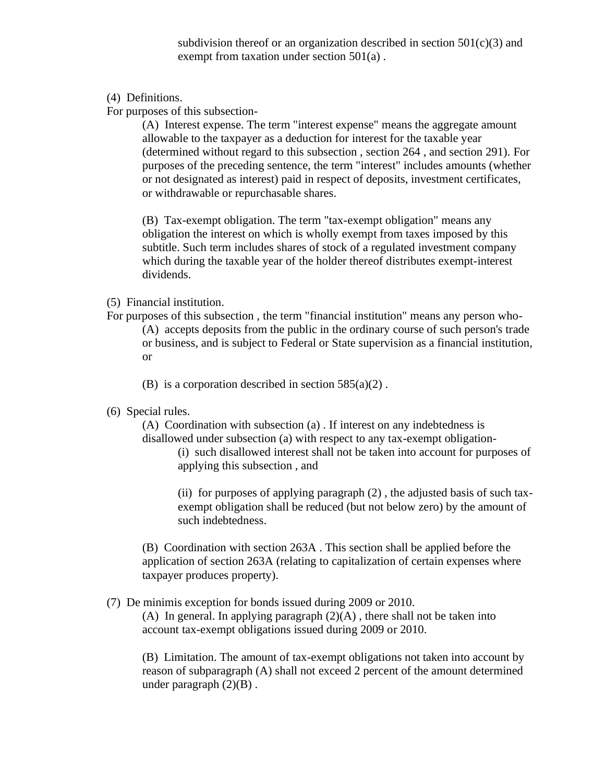subdivision thereof or an organization described in section  $501(c)(3)$  and exempt from taxation under section 501(a) .

(4) Definitions.

For purposes of this subsection-

(A) Interest expense. The term "interest expense" means the aggregate amount allowable to the taxpayer as a deduction for interest for the taxable year (determined without regard to this subsection , section 264 , and section 291). For purposes of the preceding sentence, the term "interest" includes amounts (whether or not designated as interest) paid in respect of deposits, investment certificates, or withdrawable or repurchasable shares.

(B) Tax-exempt obligation. The term "tax-exempt obligation" means any obligation the interest on which is wholly exempt from taxes imposed by this subtitle. Such term includes shares of stock of a regulated investment company which during the taxable year of the holder thereof distributes exempt-interest dividends.

## (5) Financial institution.

- For purposes of this subsection , the term "financial institution" means any person who- (A) accepts deposits from the public in the ordinary course of such person's trade or business, and is subject to Federal or State supervision as a financial institution, or
	- (B) is a corporation described in section  $585(a)(2)$ .
- (6) Special rules.

(A) Coordination with subsection (a) . If interest on any indebtedness is disallowed under subsection (a) with respect to any tax-exempt obligation-

(i) such disallowed interest shall not be taken into account for purposes of applying this subsection , and

(ii) for purposes of applying paragraph (2) , the adjusted basis of such taxexempt obligation shall be reduced (but not below zero) by the amount of such indebtedness.

(B) Coordination with section 263A . This section shall be applied before the application of section 263A (relating to capitalization of certain expenses where taxpayer produces property).

## (7) De minimis exception for bonds issued during 2009 or 2010.

(A) In general. In applying paragraph  $(2)(A)$ , there shall not be taken into account tax-exempt obligations issued during 2009 or 2010.

(B) Limitation. The amount of tax-exempt obligations not taken into account by reason of subparagraph (A) shall not exceed 2 percent of the amount determined under paragraph  $(2)(B)$ .